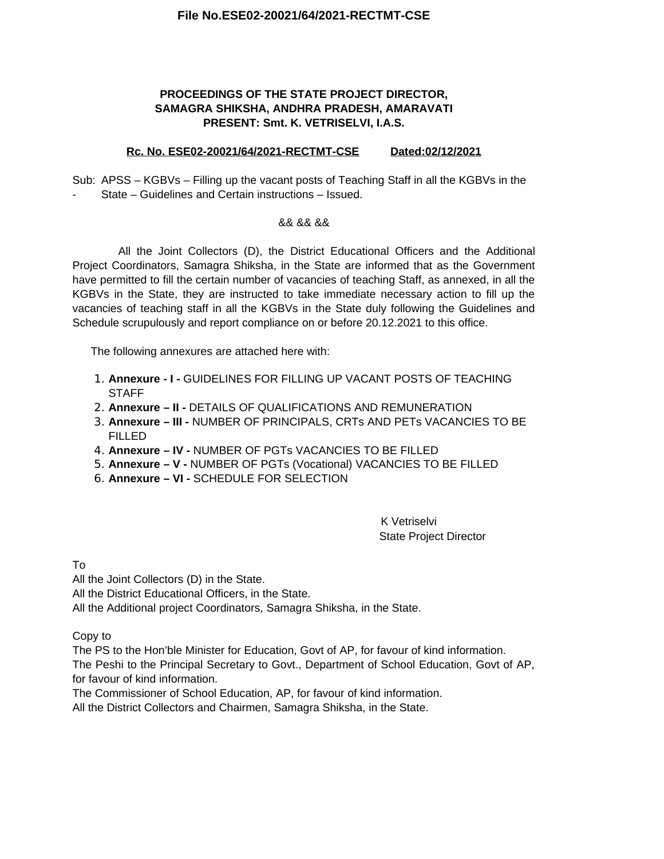#### **File No.ESE02-20021/64/2021-RECTMT-CSE**

### **PROCEEDINGS OF THE STATE PROJECT DIRECTOR, SAMAGRA SHIKSHA, ANDHRA PRADESH, AMARAVATI PRESENT: Smt. K. VETRISELVI, I.A.S.**

#### **Rc. No. ESE02-20021/64/2021-RECTMT-CSE Dated:02/12/2021**

Sub: APSS – KGBVs – Filling up the vacant posts of Teaching Staff in all the KGBVs in the - State – Guidelines and Certain instructions – Issued.

#### && && &&

All the Joint Collectors (D), the District Educational Officers and the Additional Project Coordinators, Samagra Shiksha, in the State are informed that as the Government have permitted to fill the certain number of vacancies of teaching Staff, as annexed, in all the KGBVs in the State, they are instructed to take immediate necessary action to fill up the vacancies of teaching staff in all the KGBVs in the State duly following the Guidelines and Schedule scrupulously and report compliance on or before 20.12.2021 to this office.

The following annexures are attached here with:

- 1. **Annexure I -** GUIDELINES FOR FILLING UP VACANT POSTS OF TEACHING **STAFF**
- 2. **Annexure II** DETAILS OF QUALIFICATIONS AND REMUNERATION
- 3. **Annexure III** NUMBER OF PRINCIPALS, CRTs AND PETs VACANCIES TO BE FILLED
- 4. **Annexure IV** NUMBER OF PGTs VACANCIES TO BE FILLED
- 5. **Annexure V** NUMBER OF PGTs (Vocational) VACANCIES TO BE FILLED
- 6. **Annexure VI** SCHEDULE FOR SELECTION

K Vetriselvi State Project Director

To

All the Joint Collectors (D) in the State.

All the District Educational Officers, in the State.

All the Additional project Coordinators, Samagra Shiksha, in the State.

Copy to

The PS to the Hon'ble Minister for Education, Govt of AP, for favour of kind information. The Peshi to the Principal Secretary to Govt., Department of School Education, Govt of AP,

for favour of kind information.

The Commissioner of School Education, AP, for favour of kind information.

All the District Collectors and Chairmen, Samagra Shiksha, in the State.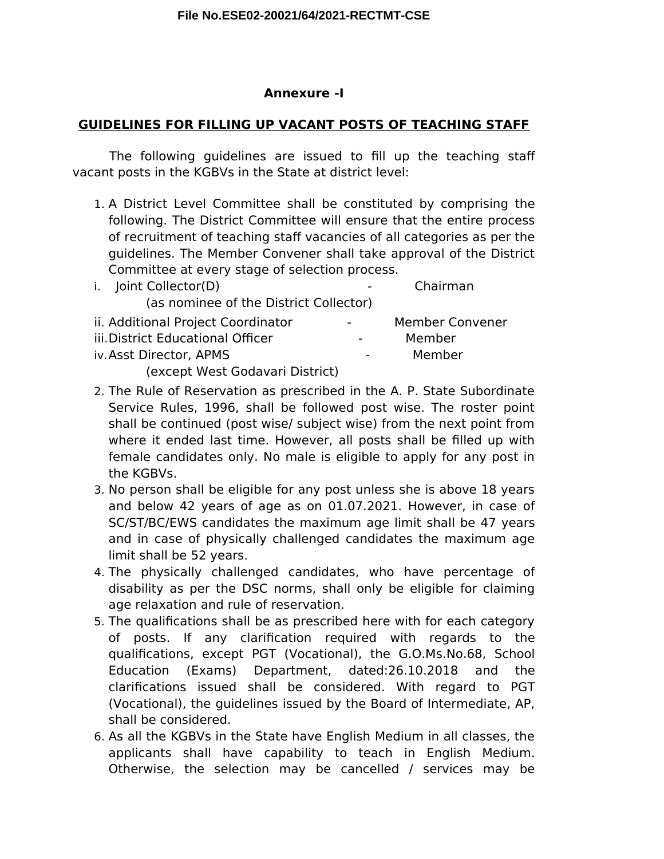## **Annexure -I**

# **GUIDELINES FOR FILLING UP VACANT POSTS OF TEACHING STAFF**

The following quidelines are issued to fill up the teaching staff vacant posts in the KGBVs in the State at district level:

1. A District Level Committee shall be constituted by comprising the following. The District Committee will ensure that the entire process of recruitment of teaching staff vacancies of all categories as per the guidelines. The Member Convener shall take approval of the District Committee at every stage of selection process.

| i. Joint Collector(D)                                      |                          | Chairman               |
|------------------------------------------------------------|--------------------------|------------------------|
| (as nominee of the District Collector)                     |                          |                        |
| ii. Additional Project Coordinator                         | $\overline{\phantom{a}}$ | <b>Member Convener</b> |
| iii. District Educational Officer                          |                          | Member                 |
| iv. Asst Director, APMS                                    | $\sim$                   | Member                 |
| $($ a $($ a $+$ k $)$ la $-$ k $($ a $)$ a $($ a $-$ k $)$ |                          |                        |

(except West Godavari District)

- 2. The Rule of Reservation as prescribed in the A. P. State Subordinate Service Rules, 1996, shall be followed post wise. The roster point shall be continued (post wise/ subject wise) from the next point from where it ended last time. However, all posts shall be filled up with female candidates only. No male is eligible to apply for any post in the KGBVs.
- 3. No person shall be eligible for any post unless she is above 18 years and below 42 years of age as on 01.07.2021. However, in case of SC/ST/BC/EWS candidates the maximum age limit shall be 47 years and in case of physically challenged candidates the maximum age limit shall be 52 years.
- 4. The physically challenged candidates, who have percentage of disability as per the DSC norms, shall only be eligible for claiming age relaxation and rule of reservation.
- 5. The qualifcations shall be as prescribed here with for each category of posts. If any clarifcation required with regards to the qualifcations, except PGT (Vocational), the G.O.Ms.No.68, School Education (Exams) Department, dated:26.10.2018 and the clarifcations issued shall be considered. With regard to PGT (Vocational), the guidelines issued by the Board of Intermediate, AP, shall be considered.
- 6. As all the KGBVs in the State have English Medium in all classes, the applicants shall have capability to teach in English Medium. Otherwise, the selection may be cancelled / services may be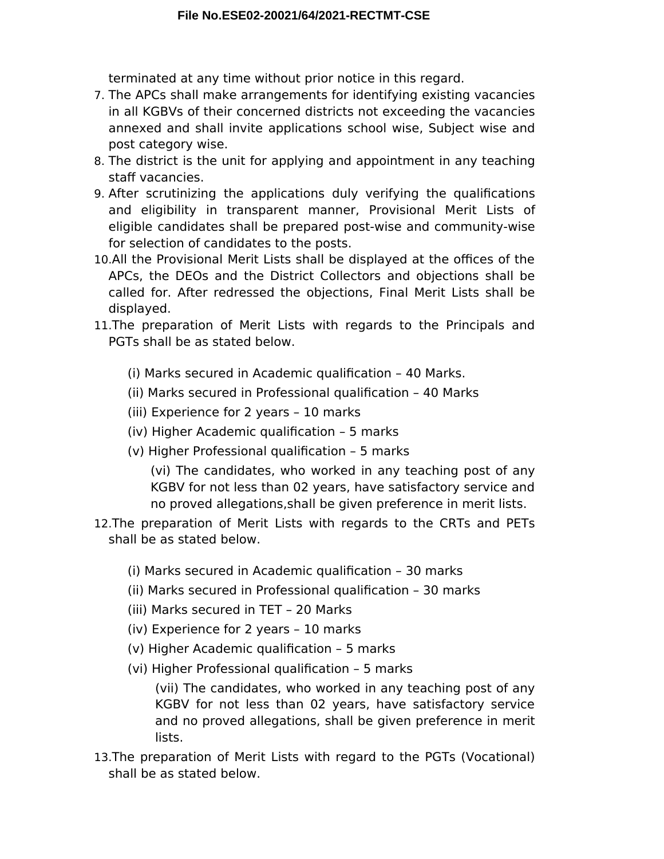terminated at any time without prior notice in this regard.

- 7. The APCs shall make arrangements for identifying existing vacancies in all KGBVs of their concerned districts not exceeding the vacancies annexed and shall invite applications school wise, Subject wise and post category wise.
- 8. The district is the unit for applying and appointment in any teaching staff vacancies.
- 9. After scrutinizing the applications duly verifying the qualifcations and eligibility in transparent manner, Provisional Merit Lists of eligible candidates shall be prepared post-wise and community-wise for selection of candidates to the posts.
- 10.All the Provisional Merit Lists shall be displayed at the offices of the APCs, the DEOs and the District Collectors and objections shall be called for. After redressed the objections, Final Merit Lists shall be displayed.
- 11.The preparation of Merit Lists with regards to the Principals and PGTs shall be as stated below.
	- (i) Marks secured in Academic qualifcation 40 Marks.
	- (ii) Marks secured in Professional qualifcation 40 Marks
	- (iii) Experience for 2 years 10 marks
	- (iv) Higher Academic qualifcation 5 marks
	- (v) Higher Professional qualifcation 5 marks

(vi) The candidates, who worked in any teaching post of any KGBV for not less than 02 years, have satisfactory service and no proved allegations,shall be given preference in merit lists.

- 12.The preparation of Merit Lists with regards to the CRTs and PETs shall be as stated below.
	- (i) Marks secured in Academic qualifcation 30 marks
	- (ii) Marks secured in Professional qualifcation 30 marks
	- (iii) Marks secured in TET 20 Marks
	- (iv) Experience for 2 years 10 marks
	- (v) Higher Academic qualifcation 5 marks
	- (vi) Higher Professional qualifcation 5 marks

(vii) The candidates, who worked in any teaching post of any KGBV for not less than 02 years, have satisfactory service and no proved allegations, shall be given preference in merit lists.

13.The preparation of Merit Lists with regard to the PGTs (Vocational) shall be as stated below.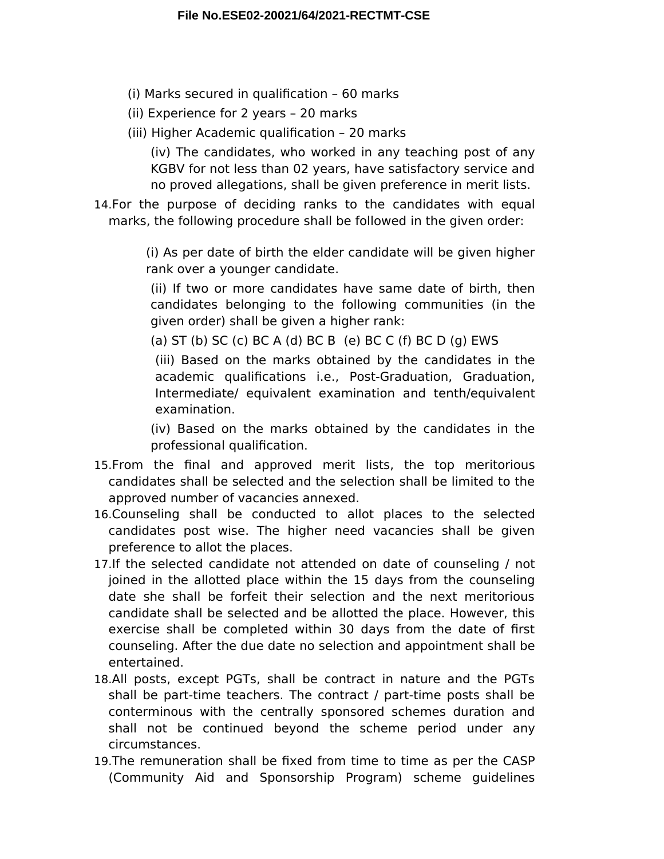- (i) Marks secured in qualifcation 60 marks
- (ii) Experience for 2 years 20 marks
- (iii) Higher Academic qualifcation 20 marks

(iv) The candidates, who worked in any teaching post of any KGBV for not less than 02 years, have satisfactory service and no proved allegations, shall be given preference in merit lists.

14.For the purpose of deciding ranks to the candidates with equal marks, the following procedure shall be followed in the given order:

> (i) As per date of birth the elder candidate will be given higher rank over a younger candidate.

(ii) If two or more candidates have same date of birth, then candidates belonging to the following communities (in the given order) shall be given a higher rank:

(a) ST (b) SC (c) BC A (d) BC B (e) BC C (f) BC D (g) EWS

(iii) Based on the marks obtained by the candidates in the academic qualifcations i.e., Post-Graduation, Graduation, Intermediate/ equivalent examination and tenth/equivalent examination.

(iv) Based on the marks obtained by the candidates in the professional qualifcation.

- 15.From the fnal and approved merit lists, the top meritorious candidates shall be selected and the selection shall be limited to the approved number of vacancies annexed.
- 16.Counseling shall be conducted to allot places to the selected candidates post wise. The higher need vacancies shall be given preference to allot the places.
- 17.If the selected candidate not attended on date of counseling / not joined in the allotted place within the 15 days from the counseling date she shall be forfeit their selection and the next meritorious candidate shall be selected and be allotted the place. However, this exercise shall be completed within 30 days from the date of frst counseling. After the due date no selection and appointment shall be entertained.
- 18.All posts, except PGTs, shall be contract in nature and the PGTs shall be part-time teachers. The contract / part-time posts shall be conterminous with the centrally sponsored schemes duration and shall not be continued beyond the scheme period under any circumstances.
- 19.The remuneration shall be fxed from time to time as per the CASP (Community Aid and Sponsorship Program) scheme guidelines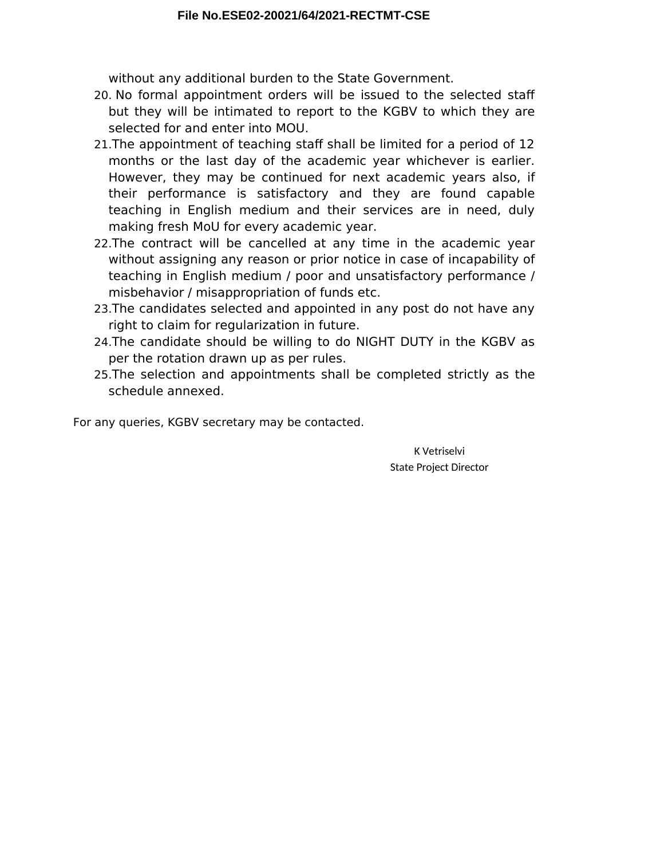without any additional burden to the State Government.

- 20. No formal appointment orders will be issued to the selected staff but they will be intimated to report to the KGBV to which they are selected for and enter into MOU.
- 21. The appointment of teaching staff shall be limited for a period of 12 months or the last day of the academic year whichever is earlier. However, they may be continued for next academic years also, if their performance is satisfactory and they are found capable teaching in English medium and their services are in need, duly making fresh MoU for every academic year.
- 22.The contract will be cancelled at any time in the academic year without assigning any reason or prior notice in case of incapability of teaching in English medium / poor and unsatisfactory performance / misbehavior / misappropriation of funds etc.
- 23.The candidates selected and appointed in any post do not have any right to claim for regularization in future.
- 24.The candidate should be willing to do NIGHT DUTY in the KGBV as per the rotation drawn up as per rules.
- 25.The selection and appointments shall be completed strictly as the schedule annexed.

For any queries, KGBV secretary may be contacted.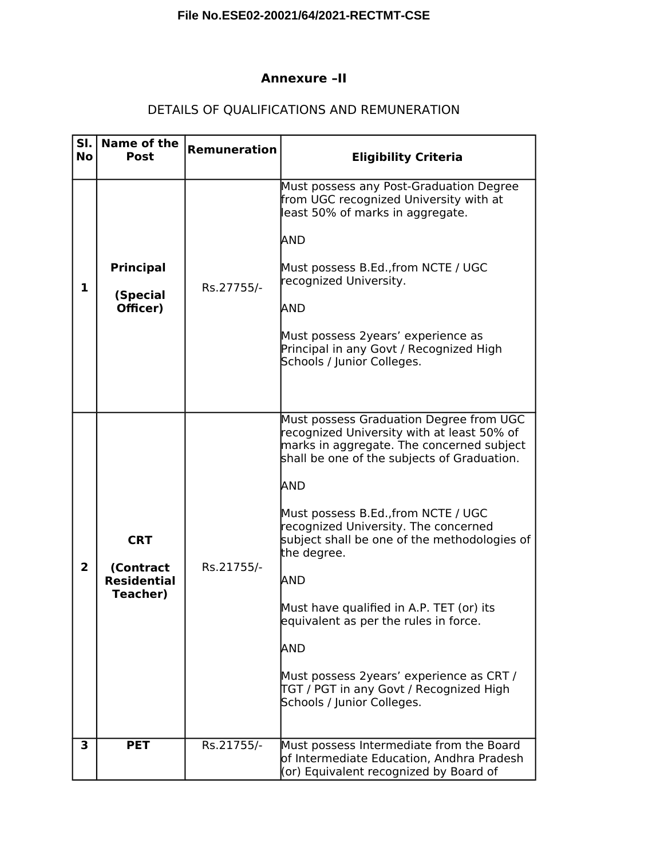# **File No.ESE02-20021/64/2021-RECTMT-CSE**

### **Annexure –II**

# DETAILS OF QUALIFICATIONS AND REMUNERATION

| SI.<br><b>No</b> | Name of the<br><b>Post</b>                                       | <b>Remuneration</b> | <b>Eligibility Criteria</b>                                                                                                                                                                                                                                                                                                                                                                                                                                                                                                                                    |
|------------------|------------------------------------------------------------------|---------------------|----------------------------------------------------------------------------------------------------------------------------------------------------------------------------------------------------------------------------------------------------------------------------------------------------------------------------------------------------------------------------------------------------------------------------------------------------------------------------------------------------------------------------------------------------------------|
| 1                | <b>Principal</b><br>(Special<br>Officer)                         | Rs.27755/-          | Must possess any Post-Graduation Degree<br>from UGC recognized University with at<br>least 50% of marks in aggregate.<br>AND<br>Must possess B.Ed., from NCTE / UGC<br>recognized University.<br>AND<br>Must possess 2years' experience as<br>Principal in any Govt / Recognized High<br>Schools / Junior Colleges.                                                                                                                                                                                                                                            |
| $\overline{2}$   | <b>CRT</b><br>(Contract<br><b>Residential</b><br><b>Teacher)</b> | Rs.21755/-          | Must possess Graduation Degree from UGC<br>recognized University with at least 50% of<br>marks in aggregate. The concerned subject<br>shall be one of the subjects of Graduation.<br>AND<br>Must possess B.Ed., from NCTE / UGC<br>recognized University. The concerned<br>subject shall be one of the methodologies of<br>the degree.<br>AND<br>Must have qualified in A.P. TET (or) its<br>equivalent as per the rules in force.<br>AND<br>Must possess 2years' experience as CRT /<br>TGT / PGT in any Govt / Recognized High<br>Schools / Junior Colleges. |
| 3                | <b>PET</b>                                                       | Rs.21755/-          | Must possess Intermediate from the Board<br>of Intermediate Education, Andhra Pradesh<br>(or) Equivalent recognized by Board of                                                                                                                                                                                                                                                                                                                                                                                                                                |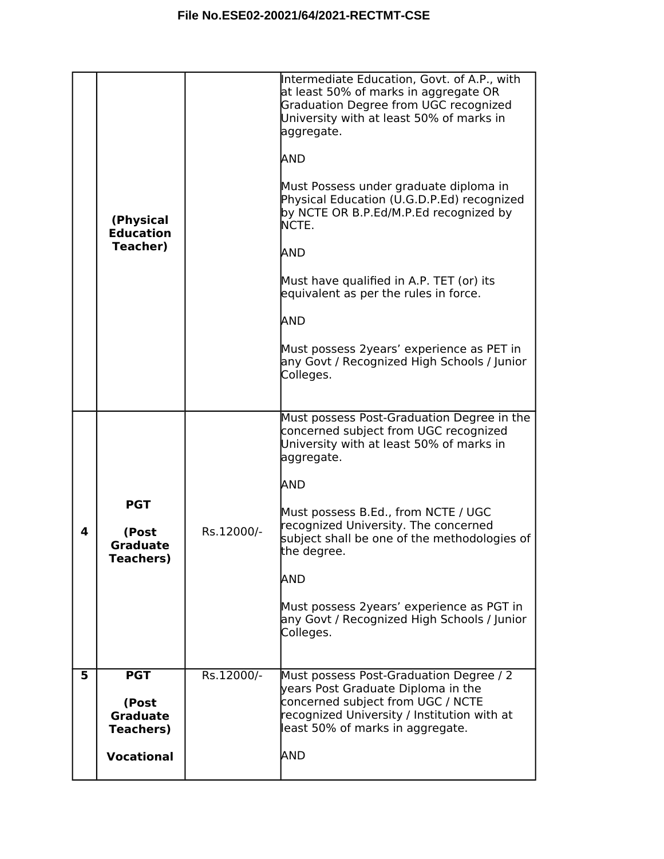|   | (Physical<br><b>Education</b><br>Teacher)                                       |            | Intermediate Education, Govt. of A.P., with<br>at least 50% of marks in aggregate OR<br>Graduation Degree from UGC recognized<br>University with at least 50% of marks in<br>aggregate.<br>AND<br>Must Possess under graduate diploma in<br>Physical Education (U.G.D.P.Ed) recognized<br>by NCTE OR B.P.Ed/M.P.Ed recognized by<br>NCTE.<br>AND<br>Must have qualified in A.P. TET (or) its<br>equivalent as per the rules in force.<br>AND<br>Must possess 2years' experience as PET in<br>any Govt / Recognized High Schools / Junior<br>Colleges. |
|---|---------------------------------------------------------------------------------|------------|-------------------------------------------------------------------------------------------------------------------------------------------------------------------------------------------------------------------------------------------------------------------------------------------------------------------------------------------------------------------------------------------------------------------------------------------------------------------------------------------------------------------------------------------------------|
| 4 | <b>PGT</b><br>(Post<br><b>Graduate</b><br>Teachers)                             | Rs.12000/- | Must possess Post-Graduation Degree in the<br>concerned subject from UGC recognized<br>University with at least 50% of marks in<br>aggregate.<br>AND<br>Must possess B.Ed., from NCTE / UGC<br>recognized University. The concerned<br>subject shall be one of the methodologies of<br>the degree.<br>AND<br>Must possess 2years' experience as PGT in<br>any Govt / Recognized High Schools / Junior<br>Colleges.                                                                                                                                    |
| 5 | <b>PGT</b><br>(Post<br><b>Graduate</b><br><b>Teachers)</b><br><b>Vocational</b> | Rs.12000/- | Must possess Post-Graduation Degree / 2<br>years Post Graduate Diploma in the<br>concerned subject from UGC / NCTE<br>recognized University / Institution with at<br>least 50% of marks in aggregate.<br>AND                                                                                                                                                                                                                                                                                                                                          |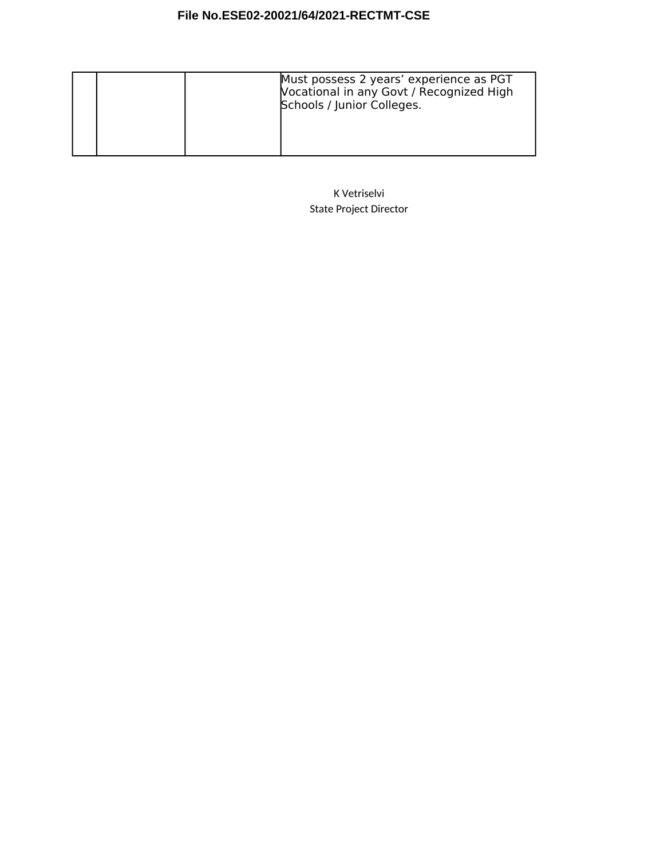# **File No.ESE02-20021/64/2021-RECTMT-CSE**

|  | Must possess 2 years' experience as PGT<br>Vocational in any Govt / Recognized High<br>Schools / Junior Colleges. |
|--|-------------------------------------------------------------------------------------------------------------------|
|--|-------------------------------------------------------------------------------------------------------------------|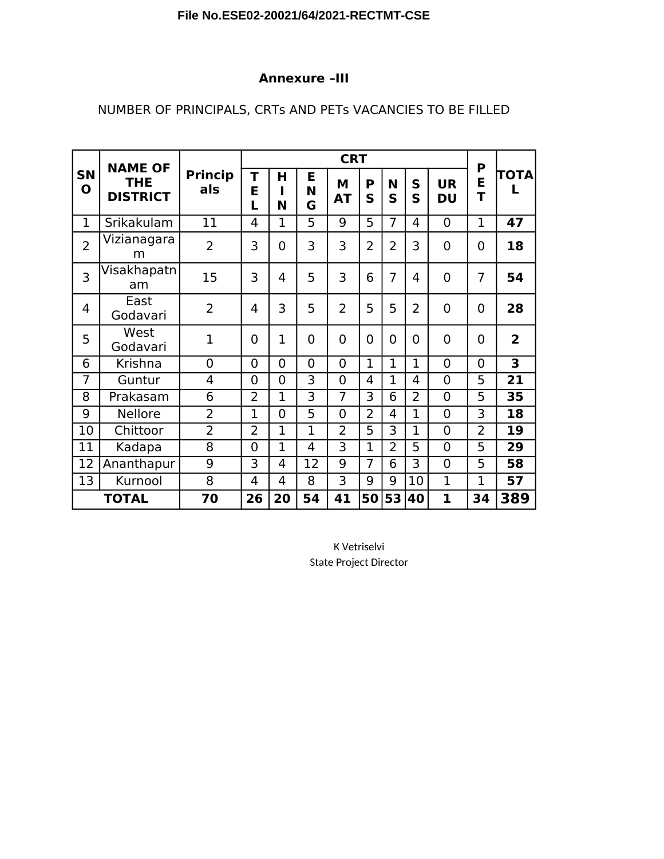## **Annexure –III**

# NUMBER OF PRINCIPALS, CRTs AND PETs VACANCIES TO BE FILLED

|                          | <b>NAME OF</b>                |                       | <b>CRT</b>     |                |                |                |                |                  |                |                        | P              |                         |
|--------------------------|-------------------------------|-----------------------|----------------|----------------|----------------|----------------|----------------|------------------|----------------|------------------------|----------------|-------------------------|
| <b>SN</b><br>$\mathbf 0$ | <b>THE</b><br><b>DISTRICT</b> | <b>Princip</b><br>als | T<br>E<br>L    | н<br>N         | Е<br>N<br>G    | M<br><b>AT</b> | P<br>S         | N<br>$\mathbf S$ | S<br>S         | <b>UR</b><br><b>DU</b> | E<br>T         | TOTA                    |
| 1                        | Srikakulam                    | 11                    | 4              | 1              | 5              | 9              | 5              | 7                | 4              | $\overline{0}$         | $\mathbf{1}$   | 47                      |
| $\overline{2}$           | Vizianagara<br>m              | $\overline{2}$        | 3              | $\overline{0}$ | 3              | 3              | $\overline{2}$ | $\overline{2}$   | 3              | $\overline{0}$         | $\overline{0}$ | 18                      |
| 3                        | Visakhapatn<br>am             | 15                    | 3              | 4              | 5              | 3              | 6              | $\overline{7}$   | 4              | $\overline{0}$         | 7              | 54                      |
| 4                        | East<br>Godavari              | $\overline{2}$        | 4              | 3              | 5              | $\overline{2}$ | 5              | 5                | $\overline{2}$ | $\overline{0}$         | $\overline{0}$ | 28                      |
| 5                        | West<br>Godavari              | 1                     | 0              | $\mathbf{1}$   | $\overline{0}$ | $\overline{0}$ | 0              | 0                | 0              | $\overline{0}$         | $\overline{0}$ | $\overline{2}$          |
| 6                        | Krishna                       | 0                     | 0              | $\overline{0}$ | $\overline{0}$ | $\overline{0}$ | $\mathbf 1$    | $\mathbf{1}$     | $\mathbf{1}$   | $\overline{0}$         | $\overline{0}$ | $\overline{\mathbf{3}}$ |
| $\overline{7}$           | Guntur                        | 4                     | 0              | $\overline{0}$ | 3              | $\overline{0}$ | 4              | $\mathbf{1}$     | 4              | $\overline{0}$         | 5              | 21                      |
| 8                        | Prakasam                      | 6                     | $\overline{2}$ | 1              | 3              | 7              | 3              | 6                | $\overline{2}$ | $\overline{0}$         | 5              | 35                      |
| 9                        | <b>Nellore</b>                | $\overline{2}$        | 1              | $\overline{0}$ | 5              | $\overline{0}$ | $\overline{2}$ | 4                | 1              | $\overline{0}$         | 3              | 18                      |
| 10                       | Chittoor                      | $\overline{2}$        | $\overline{2}$ | $\mathbf{1}$   | $\overline{1}$ | $\overline{2}$ | 5              | $\overline{3}$   | 1              | $\overline{0}$         | $\overline{2}$ | 19                      |
| 11                       | Kadapa                        | 8                     | 0              | $\mathbf{1}$   | 4              | 3              | $\mathbf{1}$   | $\overline{2}$   | 5              | $\overline{0}$         | 5              | 29                      |
| 12                       | Ananthapur                    | 9                     | 3              | $\overline{4}$ | 12             | 9              | $\overline{7}$ | 6                | 3              | $\overline{0}$         | 5              | 58                      |
| 13                       | Kurnool                       | 8                     | 4              | 4              | 8              | 3              | 9              | 9                | 10             | $\overline{1}$         | 1              | 57                      |
|                          | <b>TOTAL</b>                  | 70                    | 26             | 20             | 54             | 41             | 50             | 53               | 40             | $\mathbf{1}$           | 34             | 389                     |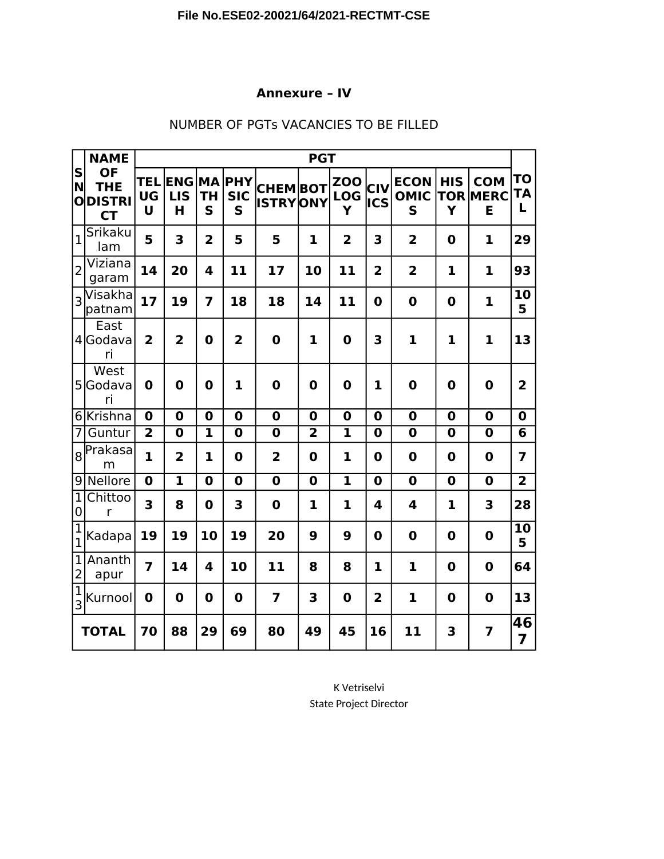## **Annexure – IV**

|                                                    | <b>NAME</b>                                           |                              | <b>PGT</b>                    |                         |                                  |                                   |                |                               |                         |                                 |                         |                                    |                      |  |
|----------------------------------------------------|-------------------------------------------------------|------------------------------|-------------------------------|-------------------------|----------------------------------|-----------------------------------|----------------|-------------------------------|-------------------------|---------------------------------|-------------------------|------------------------------------|----------------------|--|
| $\vert$ S $\vert$<br>ΙN<br>$\overline{\mathbf{o}}$ | <b>OF</b><br><b>THE</b><br><b>DISTRI</b><br><b>CT</b> | <b>TEL</b><br><b>UG</b><br>U | <b>ENG</b><br><b>LIS</b><br>H | <b>TH</b><br>S          | <b>MA PHY</b><br><b>SIC</b><br>S | <b>CHEMBOT</b><br><b>ISTRYONY</b> |                | <b>ZOO</b><br><b>LOG</b><br>Y | CIV<br>lics             | <b>ECON</b><br><b>OMIC</b><br>S | <b>HIS</b><br>Ý         | <b>COM</b><br><b>TOR MERC</b><br>E | <b>TO</b><br>TA<br>L |  |
| $\overline{1}$                                     | Srikaku<br>lam                                        | 5                            | 3                             | $\overline{\mathbf{2}}$ | 5                                | 5                                 | $\mathbf 1$    | $\overline{2}$                | 3                       | $\overline{2}$                  | $\bf{0}$                | 1                                  | 29                   |  |
| $\overline{2}$                                     | Viziana<br>garam                                      | 14                           | 20                            | $\overline{\mathbf{4}}$ | 11                               | 17                                | 10             | 11                            | $\overline{2}$          | $\overline{2}$                  | 1                       | $\mathbf{1}$                       | 93                   |  |
| 3                                                  | Visakha<br>patnam                                     | 17                           | 19                            | 7                       | 18                               | 18                                | 14             | 11                            | $\mathbf 0$             | $\mathbf 0$                     | $\mathbf 0$             | $\mathbf{1}$                       | 10<br>5              |  |
|                                                    | East<br>4 Godava<br>ri                                | $\overline{2}$               | $\overline{2}$                | $\mathbf 0$             | $\overline{2}$                   | $\mathbf 0$                       | $\mathbf{1}$   | $\mathbf 0$                   | 3                       | $\mathbf{1}$                    | 1                       | $\mathbf 1$                        | 13                   |  |
|                                                    | West<br>5Godava<br>ri                                 | $\mathbf 0$                  | $\mathbf 0$                   | $\mathbf 0$             | 1                                | $\bf{0}$                          | $\mathbf 0$    | $\boldsymbol{0}$              | $\mathbf{1}$            | $\mathbf 0$                     | $\mathbf 0$             | 0                                  | $\overline{2}$       |  |
|                                                    | 6 Krishna                                             | $\mathbf 0$                  | $\bf{0}$                      | $\mathbf 0$             | $\mathbf 0$                      | $\mathbf 0$                       | $\mathbf 0$    | $\mathbf 0$                   | $\bf{0}$                | $\mathbf 0$                     | $\mathbf 0$             | $\mathbf 0$                        | $\mathbf 0$          |  |
| $\overline{7}$                                     | Guntur                                                | $\overline{2}$               | $\mathbf 0$                   | 1                       | $\mathbf 0$                      | $\bf{0}$                          | $\overline{2}$ | $\mathbf{1}$                  | $\mathbf 0$             | $\mathbf 0$                     | $\mathbf 0$             | $\mathbf 0$                        | 6                    |  |
|                                                    | 8 Prakasa<br>m                                        | 1                            | $\overline{2}$                | 1                       | $\bf{0}$                         | $\overline{2}$                    | $\mathbf 0$    | 1                             | $\mathbf 0$             | $\mathbf 0$                     | 0                       | $\bf{0}$                           | 7                    |  |
|                                                    | 9 Nellore                                             | $\mathbf 0$                  | $\overline{\mathbf{1}}$       | $\mathbf 0$             | $\mathbf 0$                      | $\overline{\mathbf{0}}$           | $\mathbf 0$    | $\mathbf{1}$                  | $\mathbf 0$             | $\overline{\mathbf{0}}$         | $\overline{\mathbf{0}}$ | $\mathbf 0$                        | $\overline{2}$       |  |
| $\overline{1}$<br>$\pmb{0}$                        | Chittoo<br>$\mathsf{r}$                               | 3                            | 8                             | $\bf{0}$                | 3                                | $\bf{0}$                          | 1              | 1                             | $\overline{\mathbf{4}}$ | $\overline{\mathbf{4}}$         | 1                       | 3                                  | 28                   |  |
| $\overline{1}$<br>$\overline{1}$                   | Kadapa                                                | 19                           | 19                            | 10                      | 19                               | 20                                | 9              | 9                             | $\mathbf 0$             | $\mathbf 0$                     | $\mathbf 0$             | $\bf{0}$                           | 10<br>5              |  |
| $\overline{1}$<br>$\overline{c}$                   | Ananth<br>apur                                        | 7                            | 14                            | 4                       | 10                               | 11                                | 8              | 8                             | $\mathbf{1}$            | $\mathbf{1}$                    | $\mathbf 0$             | $\bf{0}$                           | 64                   |  |
| $\frac{1}{3}$                                      | Kurnool                                               | $\mathbf 0$                  | $\bf{0}$                      | $\mathbf 0$             | $\mathbf 0$                      | $\overline{\mathbf{z}}$           | 3              | $\mathbf 0$                   | $\overline{2}$          | $\mathbf{1}$                    | $\mathbf 0$             | $\mathbf 0$                        | 13                   |  |
|                                                    | <b>TOTAL</b>                                          | 70                           | 88                            | 29                      | 69                               | 80                                | 49             | 45                            | 16                      | 11                              | 3                       | $\overline{7}$                     | 46<br>$\overline{7}$ |  |

## NUMBER OF PGTs VACANCIES TO BE FILLED